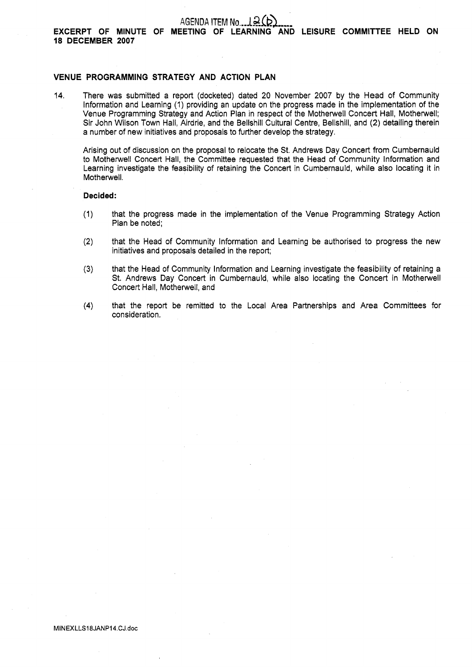## AGENDA ITEM No. 12(b)

### **VENUE PROGRAMMING STRATEGY AND ACTION PLAN**

14. There was submitted a report (docketed) dated 20 November 2007 by the Head of Community Information and Learning (1) providing an update on the progress made in the implementation of the Venue Programming Strategy and Action Plan in respect of the Motherwell Concert Hall, Motherwell; Sir John Wilson Town Hall, Airdrie, and the Bellshill Cultural Centre, Bellshill, and (2) detailing therein a number of new initiatives and proposals to further develop the strategy.

Arising out of discussion on the proposal to relocate the St. Andrews Day Concert from Cumbernauld to Motherwell Concert Hall, the Committee requested that the Head of Community Information and Learning investigate the feasibility of retaining the Concert in Cumbernauld, while also locating it in Motherwell.

### **Decided:**

- (1) that the progress made in the implementation of the Venue Programming Strategy Action Plan be noted;
- (2) that the Head of Community Information and Learning be authorised to progress the new initiatives and proposals detailed in the report;
- **(3)** that the Head of Community Information and Learning investigate the feasibility of retaining a St. Andrews Day Concert in Cumbernauld, while also locating the Concert in Motherwell Concert Hall, Motherwell, and
- **(4)** that the report be remitted to the Local Area Partnerships and Area Committees for consideration.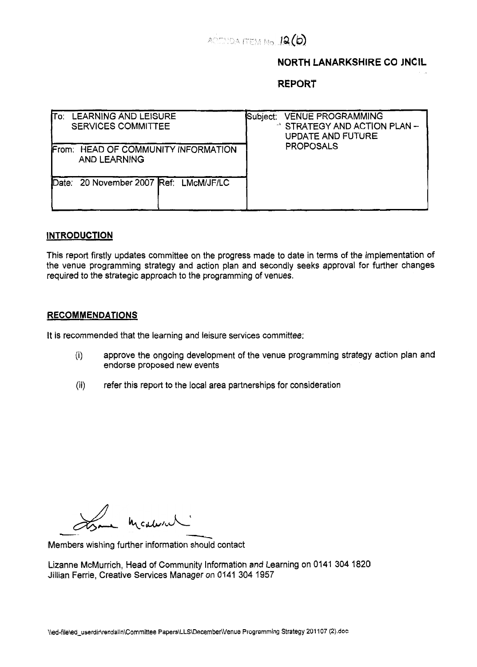

# **NORTH LANARKSHIRE CO JNC**

**REPORT** 

| <b>LEARNING AND LEISURE</b><br><b>SERVICES COMMITTEE</b>   | <b>VENUE PROGRAMMING</b><br>Subject:<br>" STRATEGY AND ACTION PLAN -<br>UPDATE AND FUTURE<br><b>PROPOSALS</b> |
|------------------------------------------------------------|---------------------------------------------------------------------------------------------------------------|
| From: HEAD OF COMMUNITY INFORMATION<br><b>AND LEARNING</b> |                                                                                                               |
| 20 November 2007 Ref: LMcM/JF/LC<br>Date:                  |                                                                                                               |

### **INTRODUCTION**

This report firstly updates committee on the progress made to date in terms of the implementation of the venue programming strategy and action plan and secondly seeks approval for further changes required to the strategic approach to the programming of venues.

### **RECOMMENDATIONS**

It is recommended that the learning and leisure services committee:

- (i) approve the ongoing development of the venue programming strategy action plan and endorse proposed new events
- (ii) refer this report to the local area partnerships for consideration

Observation de la médicale

Members wishing further information should contact

Lizanne McMurrich, Head of Community Information and Learning on 0141 304 1820 Jillian Ferrie, Creative Services Manager on 0141 304 1957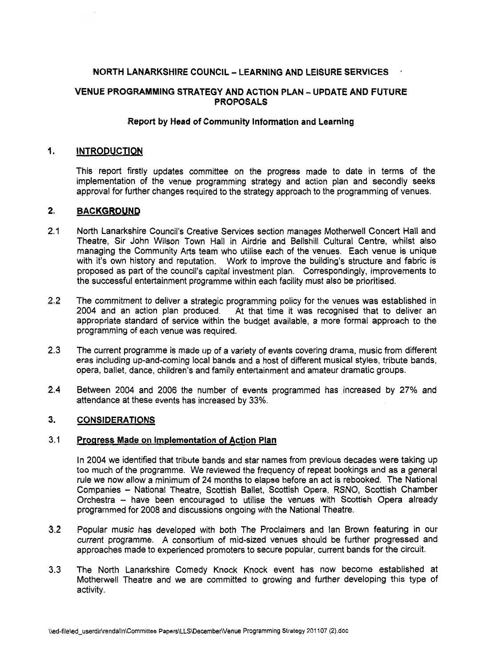# **NORTH LANARKSHIRE COUNCIL** - **LEARNING AND LEISURE SERVICES** .

## **VENUE PROGRAMMING STRATEGY AND ACTION PLAN** - **UPDATE AND FUTURE PROPOSALS**

# **Report by Head of Community Information and Learning**

#### **1. INTRODUCTION**

This report firstly updates committee on the progress made to date in terms of the implementation of the venue programming strategy and action plan and secondly seeks approval for further changes required to the strategy approach to the programming of venues.

#### **2. BACKGROUND**

- 2.1 North Lanarkshire Council's Creative Services section manages Motherwell Concert Hall and Theatre, Sir John Wilson Town Hall in Airdrie and Bellshill Cultural Centre, whilst also managing the Community Arts team who utilise each of the venues. Each venue is unique with it's own history and reputation. Work to improve the building's structure and fabric is proposed as part of the council's capital investment plan. Correspondingly, improvements to the successful entertainment programme within each facility must also be prioritised.
- **2.2**  The commitment to deliver a strategic programming policy for the venues was established in 2004 and an action plan produced. At that time it was recognised that to deliver an appropriate standard of service within the budget available, a more formal approach to the programming of each venue was required.
- **2.3**  The current programme is made up of a variety of events covering drama, music from different eras including up-and-coming local bands and a host of different musical styles, tribute bands, opera, ballet, dance, children's and family entertainment and amateur dramatic groups.
- 2.4 Between 2004 and 2006 the number of events programmed has increased by 27% and attendance at these events has increased by 33%.

#### **3. CONSIDERATIONS**

#### **3.1 Progress Made on Implementation of Action Plan**

In 2004 we identified that tribute bands and star names from previous decades were taking up too much of the programme. We reviewed the frequency of repeat bookings and as a general rule we now allow a minimum of 24 months to elapse before an act is rebooked. The National Companies - National Theatre, Scottish Ballet, Scottish Opera, RSNO, Scottish Chamber Orchestra - have been encouraged to utilise the venues with Scottish Opera already programmed for 2008 and discussions ongoing with the National Theatre.

- **3.2**  Popular music has developed with both The Proclaimers and lan Brown featuring in our current programme. **A** consortium of mid-sized venues should be further progressed and approaches made to experienced promoters to secure popular, current bands for the circuit.
- **3.3**  The North Lanarkshire Comedy Knock Knock event has now become established at Motherwell Theatre and we are committed to growing and further developing this type of activity.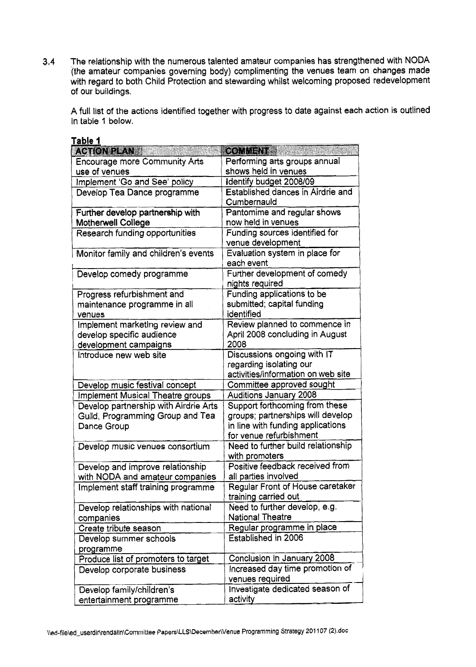**3.4** The relationship with the numerous talented amateur companies has strengthened with NODA (the amateur companies governing body) complimenting the venues team on changes made with regard to both Child Protection and stewarding whilst welcoming proposed redevelopment of our buildings.

A full list of the actions identified together with progress to date against each action is outlined in table 1 below.

| Table 1                               |                                    |
|---------------------------------------|------------------------------------|
| <b>ACTION PLAN</b>                    | <b>COMMENT &amp;</b>               |
| Encourage more Community Arts         | Performing arts groups annual      |
| use of venues                         | shows held in venues               |
| Implement 'Go and See' policy         | Identify budget 2008/09            |
| Develop Tea Dance programme           | Established dances in Airdrie and  |
|                                       | Cumbernauld                        |
| Further develop partnership with      | Pantomime and regular shows        |
| Motherwell College                    | now held in venues                 |
| Research funding opportunities        | Funding sources identified for     |
|                                       | venue development                  |
| Monitor family and children's events  | Evaluation system in place for     |
|                                       | each event                         |
| Develop comedy programme              | Further development of comedy      |
|                                       | nights required                    |
| Progress refurbishment and            | Funding applications to be         |
| maintenance programme in all          | submitted; capital funding         |
| venues                                | identified                         |
| Implement marketing review and        | Review planned to commence in      |
| develop specific audience             | April 2008 concluding in August    |
| development campaigns                 | 2008                               |
| Introduce new web site                | Discussions ongoing with IT        |
|                                       | regarding isolating our            |
|                                       | activities/information on web site |
| Develop music festival concept        | Committee approved sought          |
| Implement Musical Theatre groups      | <b>Auditions January 2008</b>      |
| Develop partnership with Airdrie Arts | Support forthcoming from these     |
| Guild, Programming Group and Tea      | groups; partnerships will develop  |
| Dance Group                           | in line with funding applications  |
|                                       | for venue refurbishment            |
| Develop music venues consortium       | Need to further build relationship |
|                                       | with promoters                     |
| Develop and improve relationship      | Positive feedback received from    |
| with NODA and amateur companies       | all parties involved               |
| Implement staff training programme    | Regular Front of House caretaker   |
|                                       | training carried out               |
| Develop relationships with national   | Need to further develop, e.g.      |
| companies                             | <b>National Theatre</b>            |
| Create tribute season                 | Regular programme in place         |
| Develop summer schools                | Established in 2006                |
| programme                             |                                    |
| Produce list of promoters to target   | Conclusion in January 2008         |
| Develop corporate business            | Increased day time promotion of    |
|                                       | venues required                    |
| Develop family/children's             | Investigate dedicated season of    |
| entertainment programme               | activity                           |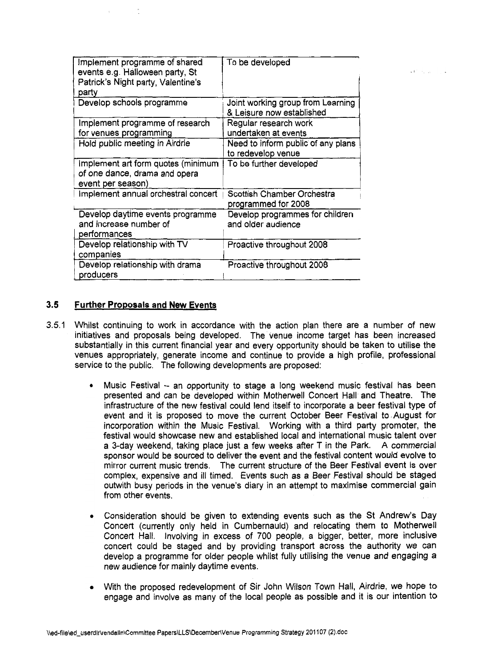| Implement programme of shared<br>events e.g. Halloween party, St<br>Patrick's Night party, Valentine's<br>party | To be developed                                                |
|-----------------------------------------------------------------------------------------------------------------|----------------------------------------------------------------|
| Develop schools programme                                                                                       | Joint working group from Learning<br>& Leisure now established |
| Implement programme of research                                                                                 | Regular research work                                          |
| for venues programming                                                                                          | undertaken at events                                           |
| Hold public meeting in Airdrie                                                                                  | Need to inform public of any plans<br>to redevelop venue       |
| Implement art form quotes (minimum<br>of one dance, drama and opera<br>event per season)                        | To be further developed                                        |
| Implement annual orchestral concert                                                                             | Scottish Chamber Orchestra<br>programmed for 2008              |
| Develop daytime events programme<br>and increase number of<br>performances                                      | Develop programmes for children<br>and older audience          |
| Develop relationship with TV<br>companies                                                                       | Proactive throughout 2008                                      |
| Develop relationship with drama<br>producers                                                                    | Proactive throughout 2008                                      |

San Collar

# **3.5 Further Proposals and New Events**

- 3.5.1 Whilst continuing to work in accordance with the action plan there are a number of new initiatives and proposals being developed. The venue income target has been increased substantially in this current financial year and every opportunity should be taken to utilise the venues appropriately, generate income and continue to provide a high profile, professional service to the public. The following developments are proposed:
	- Music Festival an opportunity to stage a long weekend music festival has been  $\bullet$ presented and can be developed within Motherwell Concert Hall and Theatre. The infrastructure of the new festival could lend itself to incorporate a beer festival type of event and it is proposed to move the current October Beer Festival to.August for incorporation within the Music Festival. Working with a third party promoter, the festival would showcase new and established local and international music talent over a 3-day weekend, taking place just a few weeks after T in the Park. A commercial sponsor would be soured to deliver the event and the festival content would evolve to mirror current music trends. The current structure of the Beer Festival event is over complex, expensive and ill timed. Events such as a Beer Festival should be staged outwith busy periods in the venue's diary in an attempt to maximise commercial gain from other events.
	- Consideration should be given to extending events such as the St Andrew's Day Concert (currently only held in Cumbernauld) and relocating them to Motherwell Concert Hall. Involving in excess of 700 people, a bigger, better, more inclusive concert could be staged and by providing transport across the authority we can develop a programme for older people whilst fully utilising the venue and engaging **a**  new audience for mainly daytime events.
	- With the proposed redevelopment of Sir John Wilson Town Hall, Airdrie, we hope to engage and involve as many of the local people as possible and it is our intention to